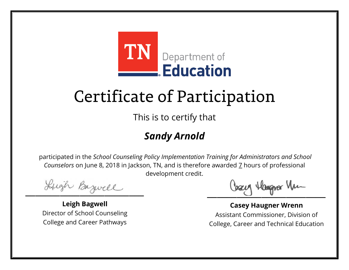

This is to certify that

## *Sandy Arnold*

Lugh Bazwell

**Leigh Bagwell** Director of School Counseling College and Career Pathways

Losey Hangra Vm

**Casey Haugner Wrenn** Assistant Commissioner, Division of College, Career and Technical Education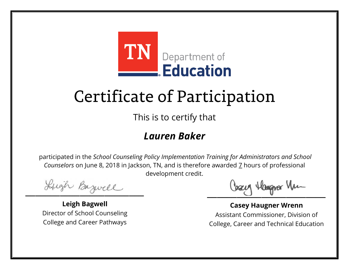

This is to certify that

#### *Lauren Baker*

Lugh Bazwell

**Leigh Bagwell** Director of School Counseling College and Career Pathways

Losey Hangra Vm

**Casey Haugner Wrenn** Assistant Commissioner, Division of College, Career and Technical Education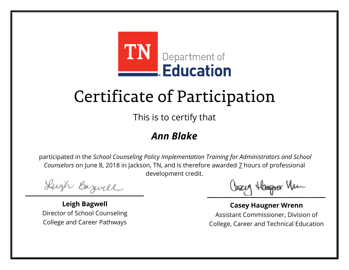

This is to certify that

### *Ann Blake*

Lugh Bazwell

**Leigh Bagwell** Director of School Counseling College and Career Pathways

Losey Hangra Vm

**Casey Haugner Wrenn** Assistant Commissioner, Division of College, Career and Technical Education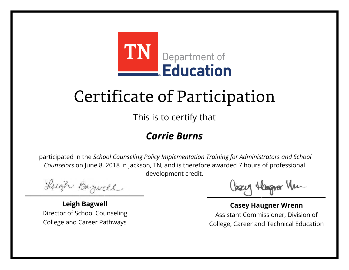

This is to certify that

#### *Carrie Burns*

Lugh Bazwell

**Leigh Bagwell** Director of School Counseling College and Career Pathways

Losey Hangra Vm

**Casey Haugner Wrenn** Assistant Commissioner, Division of College, Career and Technical Education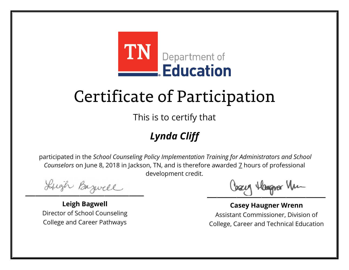

This is to certify that

## *Lynda Cliff*

Lugh Bazwell

**Leigh Bagwell** Director of School Counseling College and Career Pathways

Losey Hangra Vm

**Casey Haugner Wrenn** Assistant Commissioner, Division of College, Career and Technical Education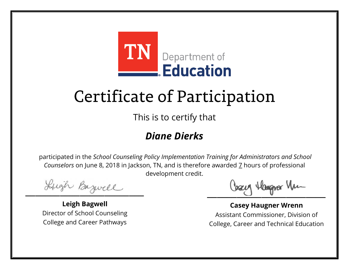

This is to certify that

## *Diane Dierks*

Lugh Bazwell

**Leigh Bagwell** Director of School Counseling College and Career Pathways

Losey Hangra Vm

**Casey Haugner Wrenn** Assistant Commissioner, Division of College, Career and Technical Education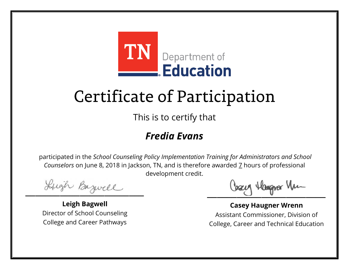

This is to certify that

#### *Fredia Evans*

Lugh Bazwell

**Leigh Bagwell** Director of School Counseling College and Career Pathways

Losey Hangra Vm

**Casey Haugner Wrenn** Assistant Commissioner, Division of College, Career and Technical Education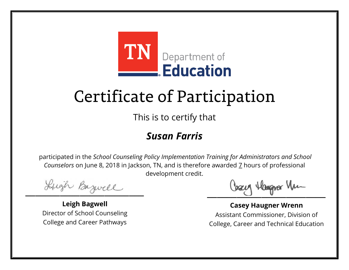

This is to certify that

#### *Susan Farris*

Lugh Bazwell

**Leigh Bagwell** Director of School Counseling College and Career Pathways

Losey Hangra Vm

**Casey Haugner Wrenn** Assistant Commissioner, Division of College, Career and Technical Education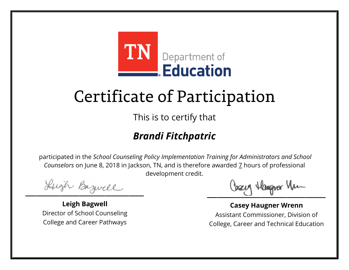

This is to certify that

## *Brandi Fitchpatric*

Lugh Bazwell

**Leigh Bagwell** Director of School Counseling College and Career Pathways

Losey Hangra Vm

**Casey Haugner Wrenn** Assistant Commissioner, Division of College, Career and Technical Education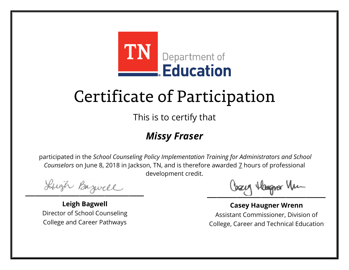

This is to certify that

### *Missy Fraser*

Lugh Bazwell

**Leigh Bagwell** Director of School Counseling College and Career Pathways

Losey Hangra Vm

**Casey Haugner Wrenn** Assistant Commissioner, Division of College, Career and Technical Education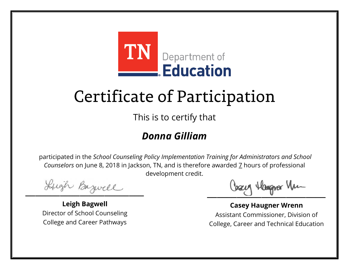

This is to certify that

#### *Donna Gilliam*

Lugh Bazwell

**Leigh Bagwell** Director of School Counseling College and Career Pathways

Losey Hangra Vm

**Casey Haugner Wrenn** Assistant Commissioner, Division of College, Career and Technical Education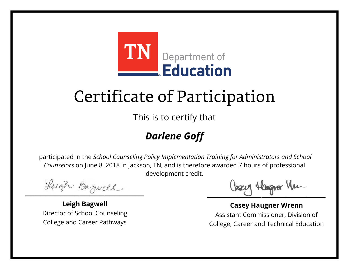

This is to certify that

## *Darlene Goff*

Lugh Bazwell

**Leigh Bagwell** Director of School Counseling College and Career Pathways

Losey Hangra Vm

**Casey Haugner Wrenn** Assistant Commissioner, Division of College, Career and Technical Education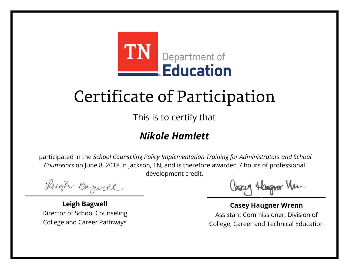

This is to certify that

### *Nikole Hamlett*

Lugh Bazwell

**Leigh Bagwell** Director of School Counseling College and Career Pathways

Losey Hangra Vm

**Casey Haugner Wrenn** Assistant Commissioner, Division of College, Career and Technical Education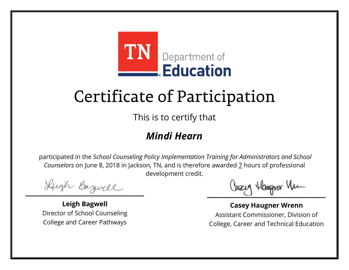

This is to certify that

### *Mindi Hearn*

Lugh Bazwell

**Leigh Bagwell** Director of School Counseling College and Career Pathways

Losey Hangra Vm

**Casey Haugner Wrenn** Assistant Commissioner, Division of College, Career and Technical Education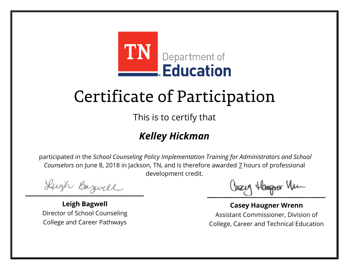

This is to certify that

### *Kelley Hickman*

Lugh Bazwell

**Leigh Bagwell** Director of School Counseling College and Career Pathways

Losey Hangra Vm

**Casey Haugner Wrenn** Assistant Commissioner, Division of College, Career and Technical Education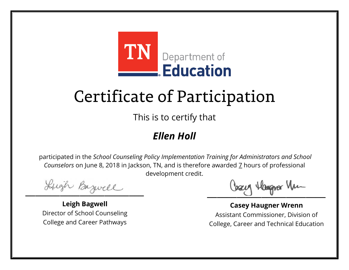

This is to certify that

#### *Ellen Holl*

Lugh Bazwell

**Leigh Bagwell** Director of School Counseling College and Career Pathways

Losey Hangra Vm

**Casey Haugner Wrenn** Assistant Commissioner, Division of College, Career and Technical Education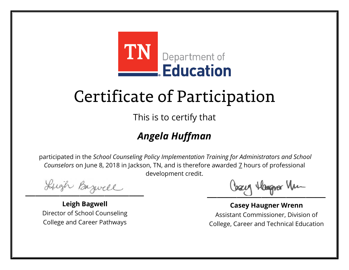

This is to certify that

## *Angela Huffman*

Lugh Bazwell

**Leigh Bagwell** Director of School Counseling College and Career Pathways

Cosey Hangra Vm

**Casey Haugner Wrenn** Assistant Commissioner, Division of College, Career and Technical Education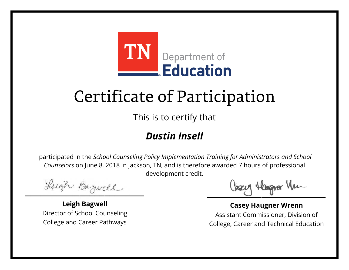

This is to certify that

## *Dustin Insell*

Lugh Bazwell

**Leigh Bagwell** Director of School Counseling College and Career Pathways

Losey Hangra Vm

**Casey Haugner Wrenn** Assistant Commissioner, Division of College, Career and Technical Education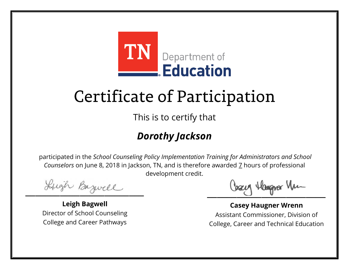

This is to certify that

## *Dorothy Jackson*

Lugh Bazwell

**Leigh Bagwell** Director of School Counseling College and Career Pathways

Cosey Hangra Vm

**Casey Haugner Wrenn** Assistant Commissioner, Division of College, Career and Technical Education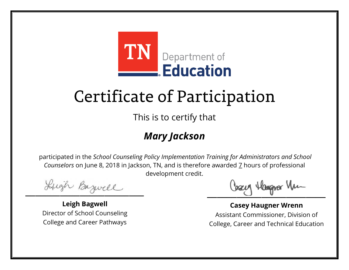

This is to certify that

## *Mary Jackson*

Lugh Bazwell

**Leigh Bagwell** Director of School Counseling College and Career Pathways

Losey Hangra Vm

**Casey Haugner Wrenn** Assistant Commissioner, Division of College, Career and Technical Education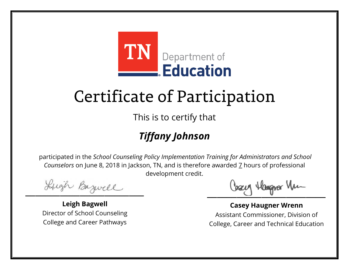

This is to certify that

## *Tiffany Johnson*

Lugh Bazwell

**Leigh Bagwell** Director of School Counseling College and Career Pathways

Losey Hangra Vm

**Casey Haugner Wrenn** Assistant Commissioner, Division of College, Career and Technical Education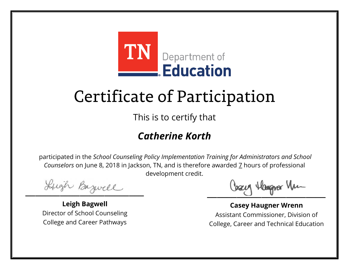

This is to certify that

### *Catherine Korth*

Lugh Bazwell

**Leigh Bagwell** Director of School Counseling College and Career Pathways

Cosey Hangra Vm

**Casey Haugner Wrenn** Assistant Commissioner, Division of College, Career and Technical Education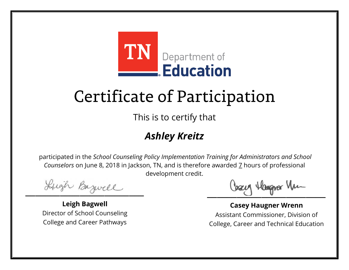

This is to certify that

## *Ashley Kreitz*

Lugh Bazwell

**Leigh Bagwell** Director of School Counseling College and Career Pathways

Losey Hangra Vm

**Casey Haugner Wrenn** Assistant Commissioner, Division of College, Career and Technical Education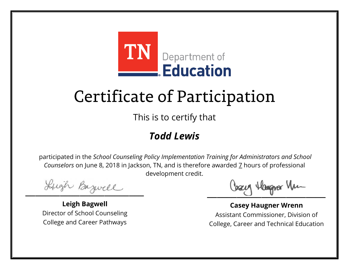

This is to certify that

### *Todd Lewis*

Lugh Bazwell

**Leigh Bagwell** Director of School Counseling College and Career Pathways

Losey Hangra Vm

**Casey Haugner Wrenn** Assistant Commissioner, Division of College, Career and Technical Education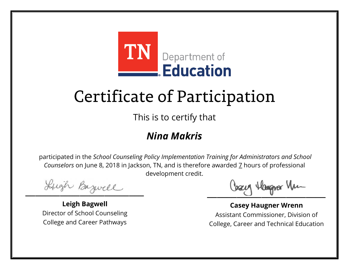

This is to certify that

#### *Nina Makris*

Lugh Bazwell

**Leigh Bagwell** Director of School Counseling College and Career Pathways

Losey Hangra Vm

**Casey Haugner Wrenn** Assistant Commissioner, Division of College, Career and Technical Education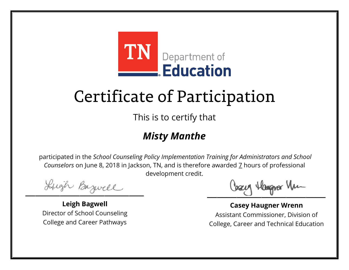

This is to certify that

### *Misty Manthe*

Lugh Bazwell

**Leigh Bagwell** Director of School Counseling College and Career Pathways

Cosey Hangra Vm

**Casey Haugner Wrenn** Assistant Commissioner, Division of College, Career and Technical Education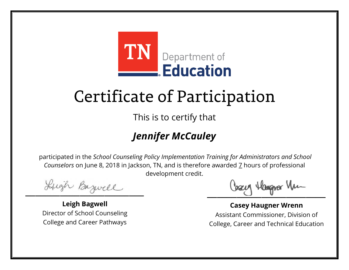

This is to certify that

## *Jennifer McCauley*

Lugh Bazwell

**Leigh Bagwell** Director of School Counseling College and Career Pathways

Losey Hangra Vm

**Casey Haugner Wrenn** Assistant Commissioner, Division of College, Career and Technical Education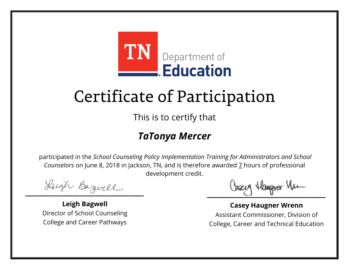

This is to certify that

#### *TaTonya Mercer*

Lugh Bazwell

**Leigh Bagwell** Director of School Counseling College and Career Pathways

Cosey Hangra Vm

**Casey Haugner Wrenn** Assistant Commissioner, Division of College, Career and Technical Education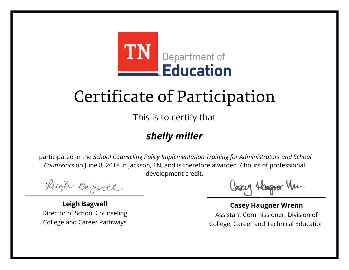

This is to certify that

### *shelly miller*

Lugh Bazwell

**Leigh Bagwell** Director of School Counseling College and Career Pathways

Losey Hangra Vm

**Casey Haugner Wrenn** Assistant Commissioner, Division of College, Career and Technical Education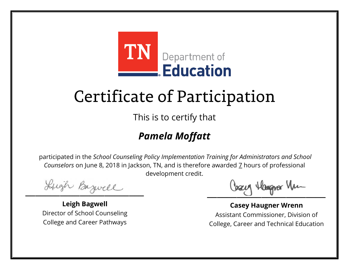

This is to certify that

## *Pamela Moffatt*

Lugh Bazwell

**Leigh Bagwell** Director of School Counseling College and Career Pathways

Cosey Hangra Vm

**Casey Haugner Wrenn** Assistant Commissioner, Division of College, Career and Technical Education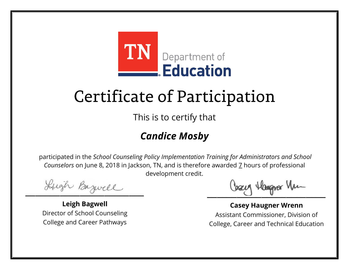

This is to certify that

## *Candice Mosby*

Lugh Bazwell

**Leigh Bagwell** Director of School Counseling College and Career Pathways

Cosey Hangra Vm

**Casey Haugner Wrenn** Assistant Commissioner, Division of College, Career and Technical Education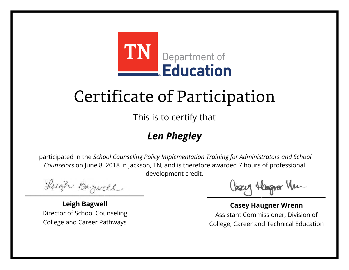

This is to certify that

## *Len Phegley*

Lugh Bazwell

**Leigh Bagwell** Director of School Counseling College and Career Pathways

Losey Hangra Vm

**Casey Haugner Wrenn** Assistant Commissioner, Division of College, Career and Technical Education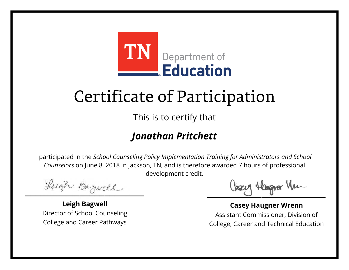

This is to certify that

### *Jonathan Pritchett*

Lugh Bazwell

**Leigh Bagwell** Director of School Counseling College and Career Pathways

Cosey Hangra Vm

**Casey Haugner Wrenn** Assistant Commissioner, Division of College, Career and Technical Education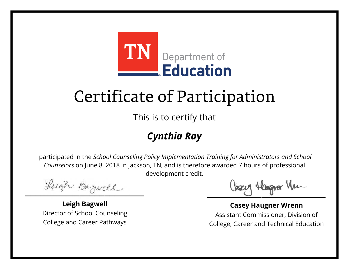

This is to certify that

## *Cynthia Ray*

Lugh Bazwell

**Leigh Bagwell** Director of School Counseling College and Career Pathways

Losey Hangra Vm

**Casey Haugner Wrenn** Assistant Commissioner, Division of College, Career and Technical Education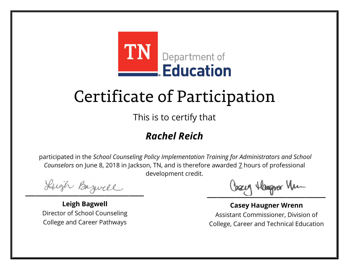

This is to certify that

### *Rachel Reich*

Lugh Bazwell

**Leigh Bagwell** Director of School Counseling College and Career Pathways

Losey Hangra Vm

**Casey Haugner Wrenn** Assistant Commissioner, Division of College, Career and Technical Education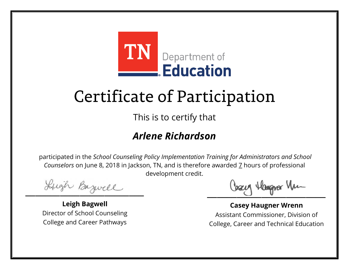

This is to certify that

### *Arlene Richardson*

Lugh Bazwell

**Leigh Bagwell** Director of School Counseling College and Career Pathways

Cosey Hangra Vm

**Casey Haugner Wrenn** Assistant Commissioner, Division of College, Career and Technical Education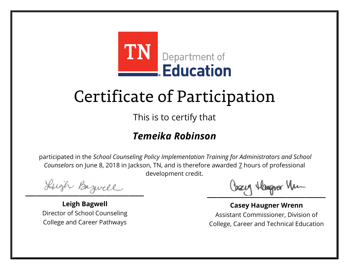

This is to certify that

#### *Temeika Robinson*

Lugh Bazwell

**Leigh Bagwell** Director of School Counseling College and Career Pathways

Cosey Hangra Vm

**Casey Haugner Wrenn** Assistant Commissioner, Division of College, Career and Technical Education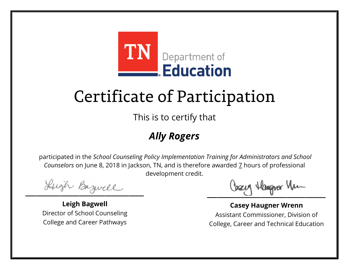

This is to certify that

## *Ally Rogers*

Lugh Bazwell

**Leigh Bagwell** Director of School Counseling College and Career Pathways

Losey Hangra Vm

**Casey Haugner Wrenn** Assistant Commissioner, Division of College, Career and Technical Education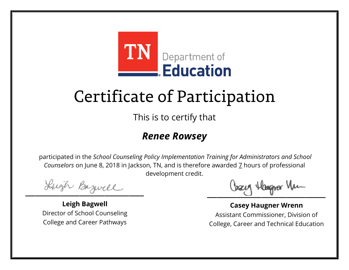

This is to certify that

#### *Renee Rowsey*

Lugh Bazwell

**Leigh Bagwell** Director of School Counseling College and Career Pathways

Losey Hangra Vm

**Casey Haugner Wrenn** Assistant Commissioner, Division of College, Career and Technical Education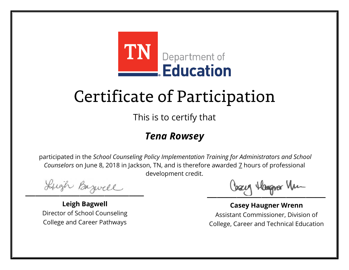

This is to certify that

#### *Tena Rowsey*

Lugh Bazwell

**Leigh Bagwell** Director of School Counseling College and Career Pathways

Losey Hangra Vm

**Casey Haugner Wrenn** Assistant Commissioner, Division of College, Career and Technical Education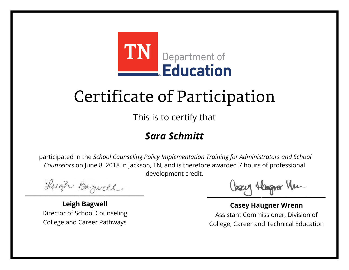

This is to certify that

#### *Sara Schmitt*

Lugh Bazwell

**Leigh Bagwell** Director of School Counseling College and Career Pathways

Losey Hangra Vm

**Casey Haugner Wrenn** Assistant Commissioner, Division of College, Career and Technical Education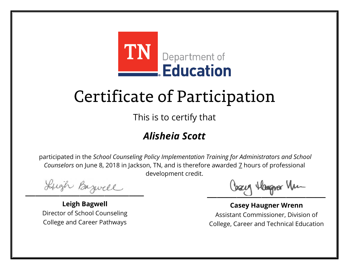

This is to certify that

### *Alisheia Scott*

Lugh Bazwell

**Leigh Bagwell** Director of School Counseling College and Career Pathways

Losey Hangra Vm

**Casey Haugner Wrenn** Assistant Commissioner, Division of College, Career and Technical Education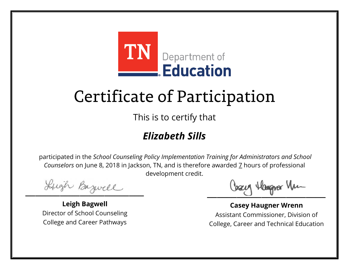

This is to certify that

## *Elizabeth Sills*

Lugh Bazwell

**Leigh Bagwell** Director of School Counseling College and Career Pathways

Losey Hangra Vm

**Casey Haugner Wrenn** Assistant Commissioner, Division of College, Career and Technical Education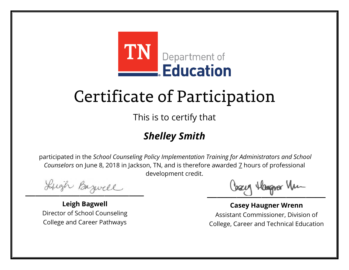

This is to certify that

## *Shelley Smith*

Lugh Bazwell

**Leigh Bagwell** Director of School Counseling College and Career Pathways

Losey Hangra Vm

**Casey Haugner Wrenn** Assistant Commissioner, Division of College, Career and Technical Education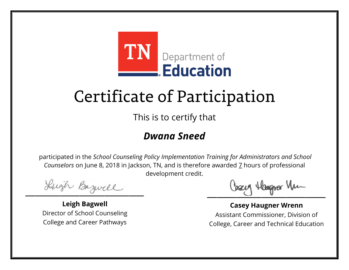

This is to certify that

#### *Dwana Sneed*

Lugh Bazwell

**Leigh Bagwell** Director of School Counseling College and Career Pathways

Losey Hangra Vm

**Casey Haugner Wrenn** Assistant Commissioner, Division of College, Career and Technical Education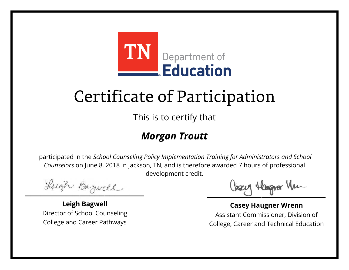

This is to certify that

### *Morgan Troutt*

Lugh Bazwell

**Leigh Bagwell** Director of School Counseling College and Career Pathways

Cosey Hangra Vm

**Casey Haugner Wrenn** Assistant Commissioner, Division of College, Career and Technical Education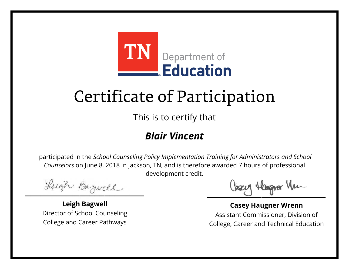

This is to certify that

#### *Blair Vincent*

Lugh Bazwell

**Leigh Bagwell** Director of School Counseling College and Career Pathways

Losey Hangra Vm

**Casey Haugner Wrenn** Assistant Commissioner, Division of College, Career and Technical Education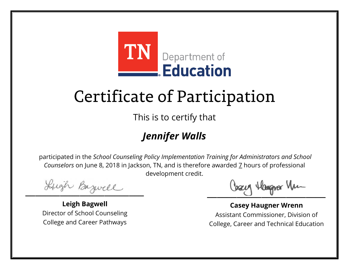

This is to certify that

## *Jennifer Walls*

Lugh Bazwell

**Leigh Bagwell** Director of School Counseling College and Career Pathways

Losey Hangra Vm

**Casey Haugner Wrenn** Assistant Commissioner, Division of College, Career and Technical Education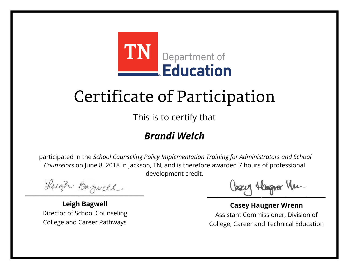

This is to certify that

#### *Brandi Welch*

Lugh Bazwell

**Leigh Bagwell** Director of School Counseling College and Career Pathways

Losey Hangra Vm

**Casey Haugner Wrenn** Assistant Commissioner, Division of College, Career and Technical Education